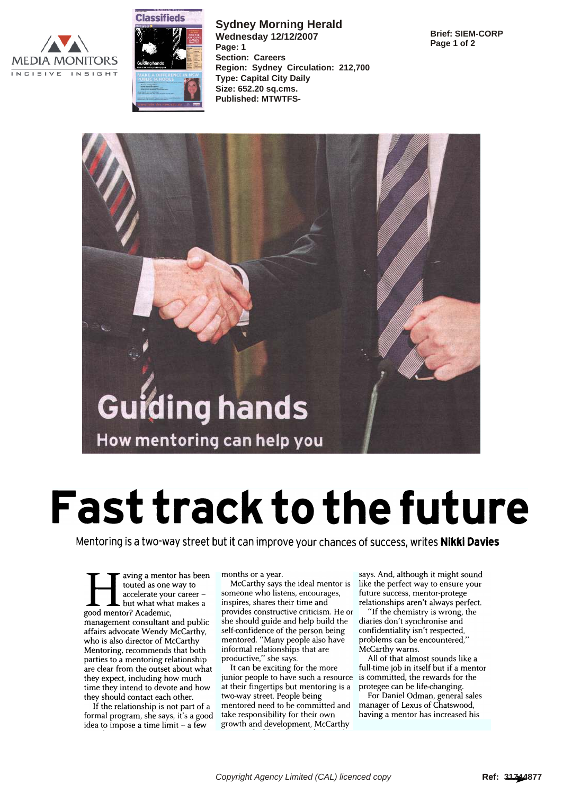



**Sydney Morning Herald Wednesday 12/12/2007 Page: 1 Section: Careers Region: Sydney Circulation: 212,700 Type: Capital City Daily Size: 652.20 sq.cms. Published: MTWTFS-**

**Brief: SIEM-CORP Page 1 of 2**



## Fast track to the future

Mentoring is a two-way street but it can improve your chances of success, writes **Nikki Davies** 

aving a mentor has been touted as one way to accelerate your career but what what makes a good mentor? Academic, management consultant and public affairs advocate Wendy McCarthy, who is also director of McCarthy Mentoring, recommends that both parties to a mentoring relationship are clear from the outset about what they expect, including how much time they intend to devote and how they should contact each other.

If the relationship is not part of a formal program, she says, it's a good idea to impose a time limit - a few

months or a year.

McCarthy says the ideal mentor is someone who listens, encourages, inspires, shares their time and provides constructive criticism. He or she should guide and help build the self-confidence of the person being mentored. "Many people also have informal relationships that are productive," she says.

It can be exciting for the more junior people to have such a resource at their fingertips but mentoring is a two-way street. People being mentored need to be committed and take responsibility for their own growth and development, McCarthy

says. And, although it might sound like the perfect way to ensure your future success, mentor-protege relationships aren't always perfect.

"If the chemistry is wrong, the diaries don't synchronise and confidentiality isn't respected, problems can be encountered," McCarthy warns.

All of that almost sounds like a full-time job in itself but if a mentor is committed, the rewards for the protegee can be life-changing.

For Daniel Odman, general sales manager of Lexus of Chatswood, having a mentor has increased his